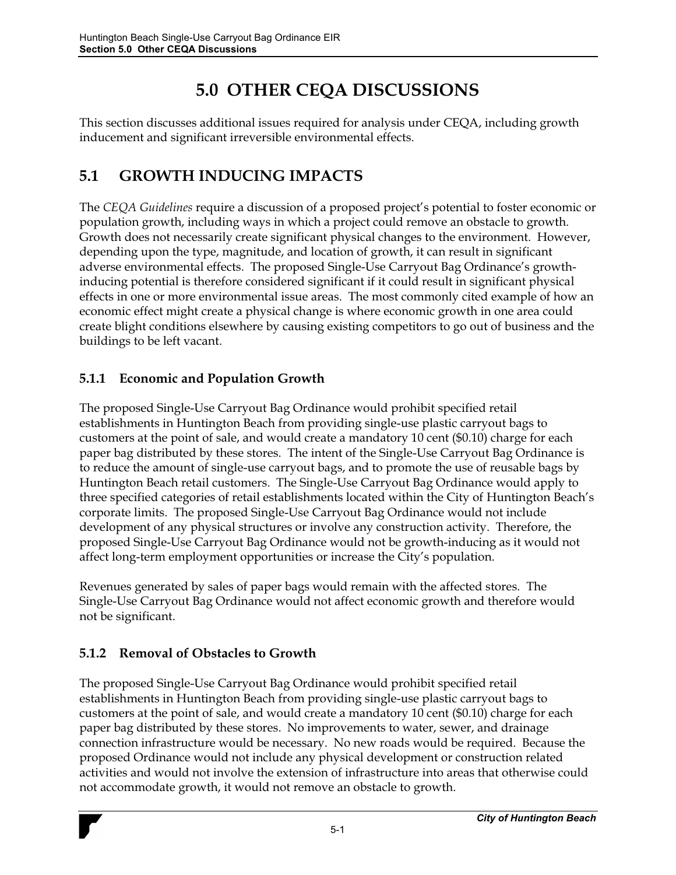# **5.0 OTHER CEQA DISCUSSIONS**

This section discusses additional issues required for analysis under CEQA, including growth inducement and significant irreversible environmental effects.

## **5.1 GROWTH INDUCING IMPACTS**

The *CEQA Guidelines* require a discussion of a proposed project's potential to foster economic or population growth, including ways in which a project could remove an obstacle to growth. Growth does not necessarily create significant physical changes to the environment. However, depending upon the type, magnitude, and location of growth, it can result in significant adverse environmental effects. The proposed Single-Use Carryout Bag Ordinance's growthinducing potential is therefore considered significant if it could result in significant physical effects in one or more environmental issue areas. The most commonly cited example of how an economic effect might create a physical change is where economic growth in one area could create blight conditions elsewhere by causing existing competitors to go out of business and the buildings to be left vacant.

#### **5.1.1 Economic and Population Growth**

The proposed Single-Use Carryout Bag Ordinance would prohibit specified retail establishments in Huntington Beach from providing single-use plastic carryout bags to customers at the point of sale, and would create a mandatory 10 cent (\$0.10) charge for each paper bag distributed by these stores. The intent of the Single-Use Carryout Bag Ordinance is to reduce the amount of single-use carryout bags, and to promote the use of reusable bags by Huntington Beach retail customers. The Single-Use Carryout Bag Ordinance would apply to three specified categories of retail establishments located within the City of Huntington Beach's corporate limits. The proposed Single-Use Carryout Bag Ordinance would not include development of any physical structures or involve any construction activity. Therefore, the proposed Single-Use Carryout Bag Ordinance would not be growth-inducing as it would not affect long-term employment opportunities or increase the City's population.

Revenues generated by sales of paper bags would remain with the affected stores. The Single-Use Carryout Bag Ordinance would not affect economic growth and therefore would not be significant.

### **5.1.2 Removal of Obstacles to Growth**

The proposed Single-Use Carryout Bag Ordinance would prohibit specified retail establishments in Huntington Beach from providing single-use plastic carryout bags to customers at the point of sale, and would create a mandatory 10 cent (\$0.10) charge for each paper bag distributed by these stores. No improvements to water, sewer, and drainage connection infrastructure would be necessary. No new roads would be required. Because the proposed Ordinance would not include any physical development or construction related activities and would not involve the extension of infrastructure into areas that otherwise could not accommodate growth, it would not remove an obstacle to growth.